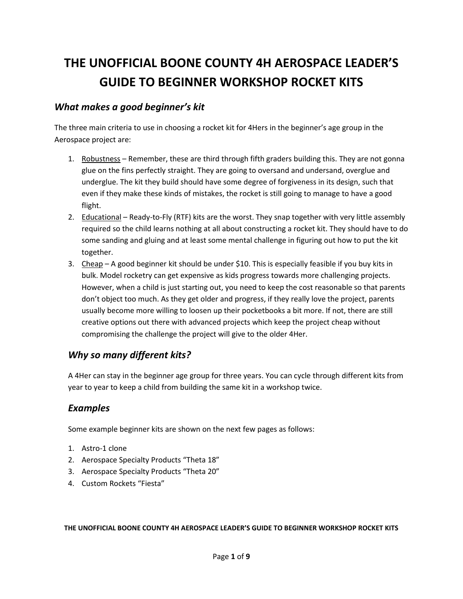# **THE UNOFFICIAL BOONE COUNTY 4H AEROSPACE LEADER'S GUIDE TO BEGINNER WORKSHOP ROCKET KITS**

## *What makes a good beginner's kit*

The three main criteria to use in choosing a rocket kit for 4Hers in the beginner's age group in the Aerospace project are:

- 1. Robustness Remember, these are third through fifth graders building this. They are not gonna glue on the fins perfectly straight. They are going to oversand and undersand, overglue and underglue. The kit they build should have some degree of forgiveness in its design, such that even if they make these kinds of mistakes, the rocket is still going to manage to have a good flight.
- 2. Educational Ready-to-Fly (RTF) kits are the worst. They snap together with very little assembly required so the child learns nothing at all about constructing a rocket kit. They should have to do some sanding and gluing and at least some mental challenge in figuring out how to put the kit together.
- 3. Cheap A good beginner kit should be under \$10. This is especially feasible if you buy kits in bulk. Model rocketry can get expensive as kids progress towards more challenging projects. However, when a child is just starting out, you need to keep the cost reasonable so that parents don't object too much. As they get older and progress, if they really love the project, parents usually become more willing to loosen up their pocketbooks a bit more. If not, there are still creative options out there with advanced projects which keep the project cheap without compromising the challenge the project will give to the older 4Her.

# *Why so many different kits?*

A 4Her can stay in the beginner age group for three years. You can cycle through different kits from year to year to keep a child from building the same kit in a workshop twice.

# *Examples*

Some example beginner kits are shown on the next few pages as follows:

- 1. Astro-1 clone
- 2. Aerospace Specialty Products "Theta 18"
- 3. Aerospace Specialty Products "Theta 20"
- 4. Custom Rockets "Fiesta"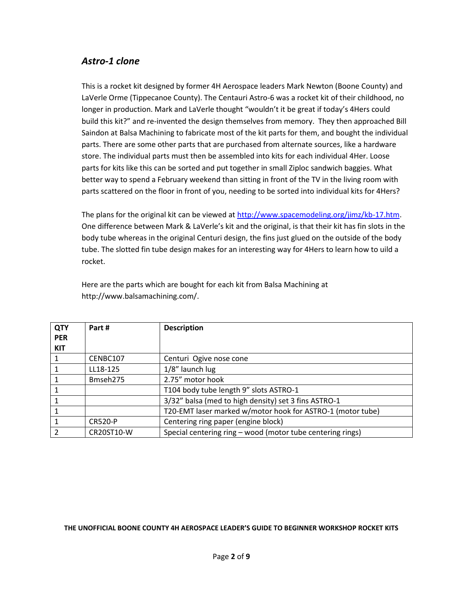# *Astro-1 clone*

This is a rocket kit designed by former 4H Aerospace leaders Mark Newton (Boone County) and LaVerle Orme (Tippecanoe County). The Centauri Astro-6 was a rocket kit of their childhood, no longer in production. Mark and LaVerle thought "wouldn't it be great if today's 4Hers could build this kit?" and re-invented the design themselves from memory. They then approached Bill Saindon at Balsa Machining to fabricate most of the kit parts for them, and bought the individual parts. There are some other parts that are purchased from alternate sources, like a hardware store. The individual parts must then be assembled into kits for each individual 4Her. Loose parts for kits like this can be sorted and put together in small Ziploc sandwich baggies. What better way to spend a February weekend than sitting in front of the TV in the living room with parts scattered on the floor in front of you, needing to be sorted into individual kits for 4Hers?

The plans for the original kit can be viewed a[t http://www.spacemodeling.org/jimz/kb-17.htm.](http://www.spacemodeling.org/jimz/kb-17.htm) One difference between Mark & LaVerle's kit and the original, is that their kit has fin slots in the body tube whereas in the original Centuri design, the fins just glued on the outside of the body tube. The slotted fin tube design makes for an interesting way for 4Hers to learn how to uild a rocket.

Here are the parts which are bought for each kit from Balsa Machining at http://www.balsamachining.com/.

| <b>QTY</b><br><b>PER</b><br><b>KIT</b> | Part#          | <b>Description</b>                                         |
|----------------------------------------|----------------|------------------------------------------------------------|
|                                        |                |                                                            |
|                                        | CENBC107       | Centuri Ogive nose cone                                    |
|                                        | LL18-125       | 1/8" launch lug                                            |
|                                        | Bmseh275       | 2.75" motor hook                                           |
|                                        |                | T104 body tube length 9" slots ASTRO-1                     |
|                                        |                | 3/32" balsa (med to high density) set 3 fins ASTRO-1       |
|                                        |                | T20-EMT laser marked w/motor hook for ASTRO-1 (motor tube) |
|                                        | <b>CR520-P</b> | Centering ring paper (engine block)                        |
|                                        | CR20ST10-W     | Special centering ring - wood (motor tube centering rings) |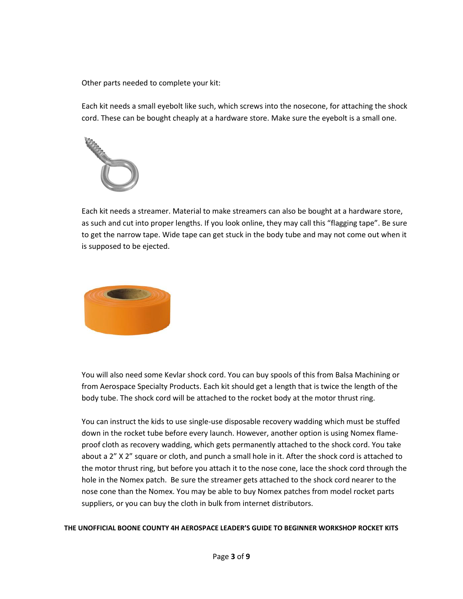Other parts needed to complete your kit:

Each kit needs a small eyebolt like such, which screws into the nosecone, for attaching the shock cord. These can be bought cheaply at a hardware store. Make sure the eyebolt is a small one.



Each kit needs a streamer. Material to make streamers can also be bought at a hardware store, as such and cut into proper lengths. If you look online, they may call this "flagging tape". Be sure to get the narrow tape. Wide tape can get stuck in the body tube and may not come out when it is supposed to be ejected.



You will also need some Kevlar shock cord. You can buy spools of this from Balsa Machining or from Aerospace Specialty Products. Each kit should get a length that is twice the length of the body tube. The shock cord will be attached to the rocket body at the motor thrust ring.

You can instruct the kids to use single-use disposable recovery wadding which must be stuffed down in the rocket tube before every launch. However, another option is using Nomex flameproof cloth as recovery wadding, which gets permanently attached to the shock cord. You take about a 2" X 2" square or cloth, and punch a small hole in it. After the shock cord is attached to the motor thrust ring, but before you attach it to the nose cone, lace the shock cord through the hole in the Nomex patch. Be sure the streamer gets attached to the shock cord nearer to the nose cone than the Nomex. You may be able to buy Nomex patches from model rocket parts suppliers, or you can buy the cloth in bulk from internet distributors.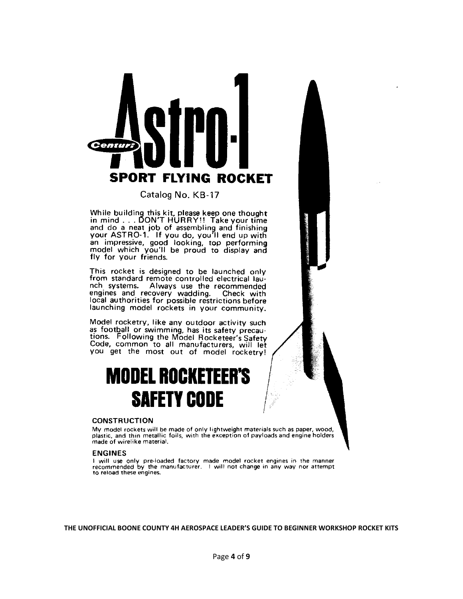# Centuri **SPORT FLYING ROCKET**

Catalog No. KB-17

While building this kit, please keep one thought<br>in mind . . . DON'T HURRY!! Take your time and do a neat job of assembling and finishing<br>your ASTRO-1. If you do, you'll end up with an impressive, good looking, top performing<br>model which you'll be proud to display and fly for your friends.

This rocket is designed to be launched only from standard remote controlled electrical launch systems. Always use the recommended engines and recovery wadding. Check with local authorities for possible restrictions before launching model rockets in your community.

Model rocketry, like any outdoor activity such as football or swimming, has its safety precautions. Following the Model Rocketeer's Safety Code, common to all manufacturers, will let you get the most out of model rocketry!

# **MODEL ROCKETEER'S SAFETY CODE**

#### **CONSTRUCTION**

My model rockets will be made of only lightweight materials such as paper, wood, plastic, and thin metallic foils, with the exception of payloads and engine holders made of wirelike material.

#### **ENGINES**

I will use only pre-loaded factory made model rocket engines in the manner recommended by the manufacturer. I will not change in any way nor attempt to reload these engines.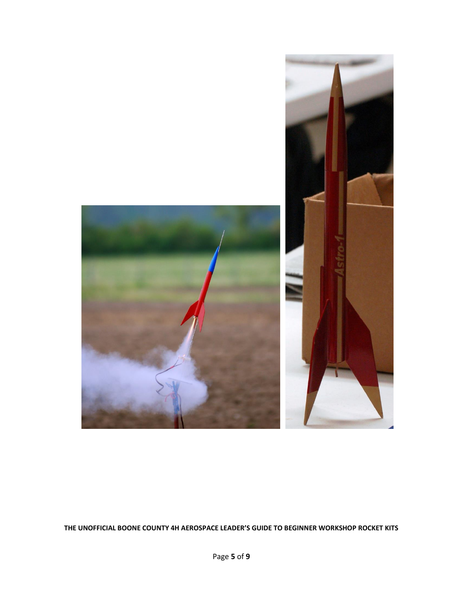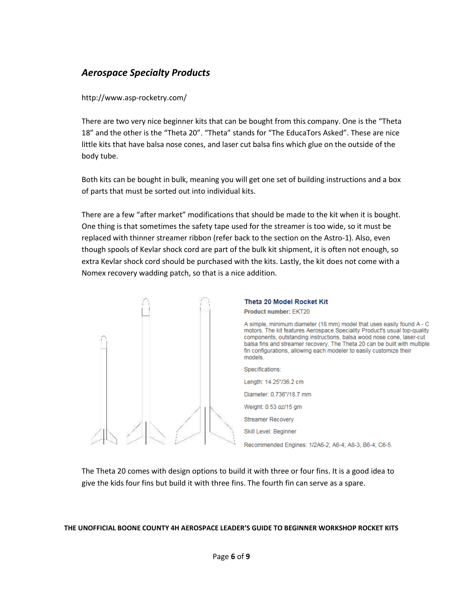# *Aerospace Specialty Products*

#### http://www.asp-rocketry.com/

There are two very nice beginner kits that can be bought from this company. One is the "Theta 18" and the other is the "Theta 20". "Theta" stands for "The EducaTors Asked". These are nice little kits that have balsa nose cones, and laser cut balsa fins which glue on the outside of the body tube.

Both kits can be bought in bulk, meaning you will get one set of building instructions and a box of parts that must be sorted out into individual kits.

There are a few "after market" modifications that should be made to the kit when it is bought. One thing is that sometimes the safety tape used for the streamer is too wide, so it must be replaced with thinner streamer ribbon (refer back to the section on the Astro-1). Also, even though spools of Kevlar shock cord are part of the bulk kit shipment, it is often not enough, so extra Kevlar shock cord should be purchased with the kits. Lastly, the kit does not come with a Nomex recovery wadding patch, so that is a nice addition.



**Theta 20 Model Rocket Kit** Product number: EKT20 A simple, minimum diameter (18 mm) model that uses easily found A - C motors. The kit features Aerospace Speciality Product's usual top-quality components, outstanding instructions, balsa wood nose cone, laser-cut balsa fins and streamer recovery. The Theta 20 can be built with multiple fin configurations, allowing each modeler to easily customize their models. Specifications: Length: 14.25"/36.2 cm Diameter: 0.736"/18.7 mm Weight: 0.53 oz/15 gm **Streamer Recovery** 

Skill Level: Beginner

Recommended Engines: 1/2A6-2; A6-4; A8-3; B6-4; C6-5.

The Theta 20 comes with design options to build it with three or four fins. It is a good idea to give the kids four fins but build it with three fins. The fourth fin can serve as a spare.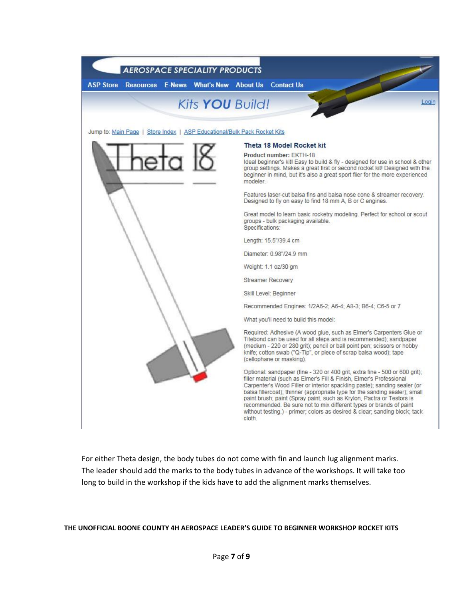### **AEROSPACE SPECIALITY PRODUCTS**

**ASP Store** Resources E-News What's New About Us Contact Us

# **Kits YOU Build!**

Jump to: Main Page | Store Index | ASP Educational/Bulk Pack Rocket Kits

#### Theta 18 Model Rocket kit

Product number: EKTH-18

Ideal beginner's kit! Easy to build & fly - designed for use in school & other group settings. Makes a great first or second rocket kit! Designed with the beginner in mind, but it's also a great sport flier for the more experienced modeler

Login

Features laser-cut balsa fins and balsa nose cone & streamer recovery. Designed to fly on easy to find 18 mm A, B or C engines.

Great model to learn basic rocketry modeling. Perfect for school or scout groups - bulk packaging available. Specifications:

Length: 15.5"/39.4 cm

Diameter: 0.98"/24.9 mm

Weight: 1.1 oz/30 gm

**Streamer Recovery** 

Skill Level: Beginner

Recommended Engines: 1/2A6-2; A6-4; A8-3; B6-4; C6-5 or 7

What you'll need to build this model:

Required: Adhesive (A wood glue, such as Elmer's Carpenters Glue or Titebond can be used for all steps and is recommended); sandpaper (medium - 220 or 280 grit); pencil or ball point pen; scissors or hobby knife; cotton swab ("Q-Tip", or piece of scrap balsa wood); tape (cellophane or masking).

Optional: sandpaper (fine - 320 or 400 grit, extra fine - 500 or 600 grit); filler material (such as Elmer's Fill & Finish, Elmer's Professional Carpenter's Wood Filler or interior spackling paste); sanding sealer (or balsa fillercoat); thinner (appropriate type for the sanding sealer); small paint brush; paint (Spray paint, such as Krylon, Pactra or Testors is recommended. Be sure not to mix different types or brands of paint without testing.) - primer; colors as desired & clear; sanding block; tack cloth

For either Theta design, the body tubes do not come with fin and launch lug alignment marks. The leader should add the marks to the body tubes in advance of the workshops. It will take too long to build in the workshop if the kids have to add the alignment marks themselves.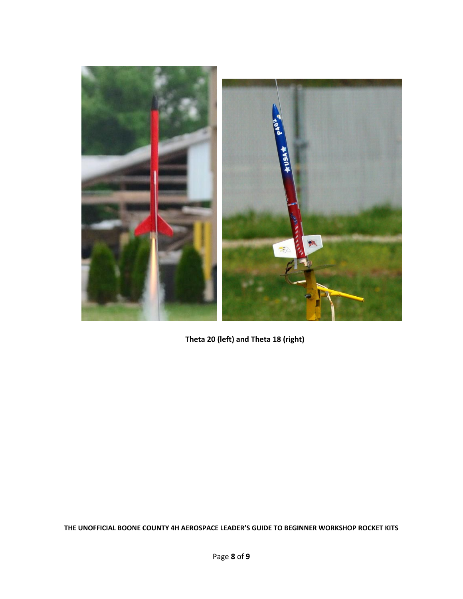

**Theta 20 (left) and Theta 18 (right)**